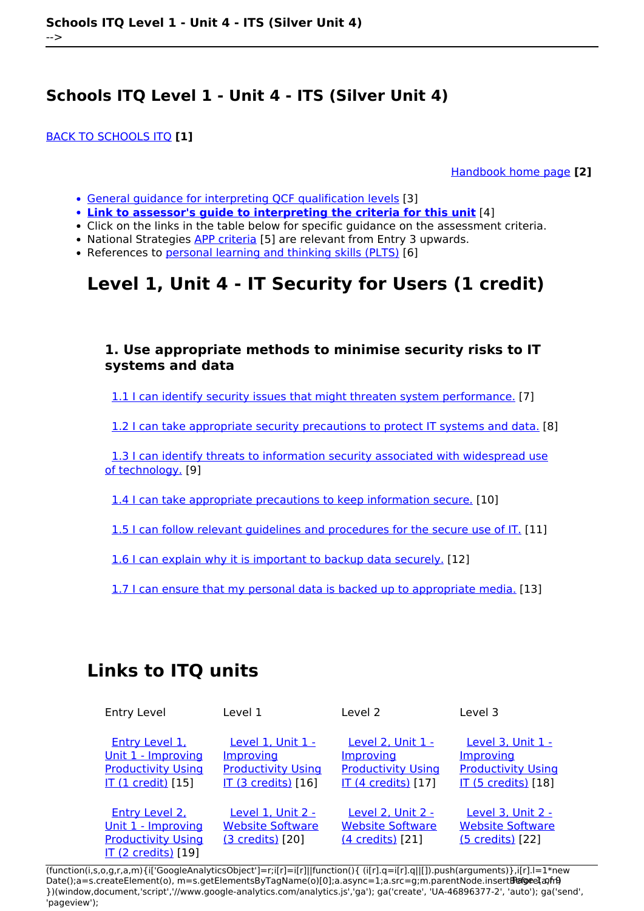[BACK TO SCHOOLS ITQ](https://theingots.org/community/ITQ_unit_development) **[1]**

[Handbook home page](https://theingots.org/community/handbook2) **[2]**

- [General guidance for interpreting QCF qualification levels](https://theingots.org/community/QCF_levels) [3]
- **[Link to assessor's guide to interpreting the criteria for this unit](https://theingots.org/community/SIL1U4X)** [4]
- Click on the links in the table below for specific guidance on the assessment criteria.
- National Strategies [APP criteria](http://nationalstrategies.standards.dcsf.gov.uk/focuses/959/861/110166) [5] are relevant from Entry 3 upwards.
- References to [personal learning and thinking skills \(PLTS\)](http://curriculum.qcda.gov.uk/key-stages-3-and-4/skills/plts/planning-for-plts/index.aspx) [6]

# **Level 1, Unit 4 - IT Security for Users (1 credit)**

### **1. Use appropriate methods to minimise security risks to IT systems and data**

[1.1 I can identify security issues that might threaten system performance.](https://theingots.org/community/sil1u4x#1.1) [7]

[1.2 I can take appropriate security precautions to protect IT systems and data.](https://theingots.org/community/sil1u4x#1.2) [8]

 [1.3 I can identify threats to information security associated with widespread use](https://theingots.org/community/sil1u4x#1.3) [of technology.](https://theingots.org/community/sil1u4x#1.3) [9]

[1.4 I can take appropriate precautions to keep information secure.](https://theingots.org/community/sil1u4x#1.4) [10]

[1.5 I can follow relevant guidelines and procedures for the secure use of IT.](https://theingots.org/community/sil1u4x#1.5) [11]

[1.6 I can explain why it is important to backup data securely.](https://theingots.org/community/sil1u4x#1.6) [12]

[1.7 I can ensure that my personal data is backed up to appropriate media.](https://theingots.org/community/sil1u4x#1.7) [13]

## **Links to ITQ units**

| <b>Entry Level</b>                                                                                    | Level 1                                                                                   | Level 2                                                                                          | Level 3                                                                                          |
|-------------------------------------------------------------------------------------------------------|-------------------------------------------------------------------------------------------|--------------------------------------------------------------------------------------------------|--------------------------------------------------------------------------------------------------|
| <b>Entry Level 1.</b><br>Unit 1 - Improving<br><b>Productivity Using</b><br><b>IT (1 credit)</b> [15] | Level 1, Unit 1 -<br>Improving<br><b>Productivity Using</b><br><b>IT (3 credits)</b> [16] | <b>Level 2, Unit 1 -</b><br>Improving<br><b>Productivity Using</b><br><b>IT (4 credits)</b> [17] | <b>Level 3, Unit 1 -</b><br>Improving<br><b>Productivity Using</b><br><b>IT (5 credits)</b> [18] |
| Entry Level 2.<br>Unit 1 - Improving<br><b>Productivity Using</b><br><b>IT (2 credits)</b> [19]       | Level 1, Unit 2 -<br><b>Website Software</b><br>(3 credits) [20]                          | Level 2. Unit 2 -<br><b>Website Software</b><br>(4 credits) [21]                                 | <b>Level 3. Unit 2 -</b><br><b>Website Software</b><br>(5 credits) [22]                          |

(function(i,s,o,g,r,a,m){i['GoogleAnalyticsObject']=r;i[r]=i[r]||function(){ (i[r].q=i[r].q||[]).push(arguments)},i[r].l=1\*new Date();a=s.createElement(o), m=s.getElementsByTagName(o)[0];a.async=1;a.src=g;m.parentNode.insertBහ@eetฺaภฺfr9 })(window,document,'script','//www.google-analytics.com/analytics.js','ga'); ga('create', 'UA-46896377-2', 'auto'); ga('send', 'pageview');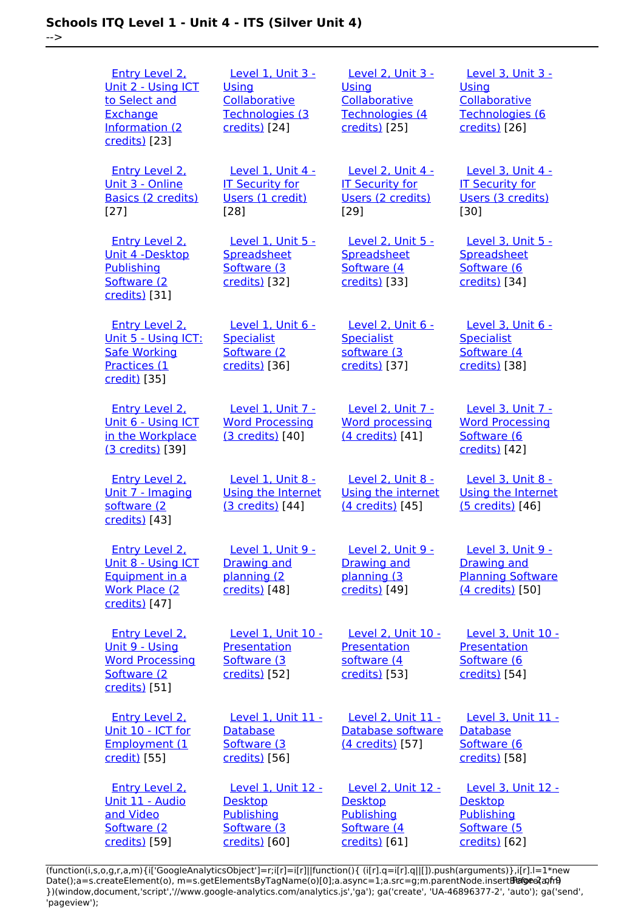| $\rightarrow$ | Schools ITQ Level 1 - Unit 4 - ITS (Silver Unit 4)                                                          |                                                                                               |                                                                                        |
|---------------|-------------------------------------------------------------------------------------------------------------|-----------------------------------------------------------------------------------------------|----------------------------------------------------------------------------------------|
|               | <b>Entry Level 2,</b><br>Unit 2 - Using ICT<br>to Select and<br>Exchange<br>Information (2<br>credits) [23] | <b>Level 1, Unit 3 -</b><br><b>Using</b><br>Collaborative<br>Technologies (3<br>credits) [24] | <b>Level 2, Unit 3 -</b><br>Using<br>Collaborative<br>Technologies (4<br>credits) [25] |
|               | Entry Level 2,<br>Unit 3 - Online<br>Basics (2 credits)<br>$[27]$                                           | Level 1. Unit 4 -<br><b>IT Security for</b><br>Users (1 credit)<br>$[28]$                     | Level 2, Unit 4 -<br><b>IT Security for</b><br>Users (2 credits)<br>[29]               |
|               | <b>Entry Level 2.</b><br>Unit 4 -Desktop<br>Publishing<br>Software (2<br>credits) [31]                      | Level 1, Unit 5 -<br>Spreadsheet<br>Software (3<br>credits) [32]                              | Level 2, Unit 5 -<br>Spreadsheet<br>Software (4<br>credits) [33]                       |
|               | <b>Entry Level 2.</b><br>Unit 5 - Using ICT:<br><b>Safe Working</b><br>Practices (1<br>credit) [35]         | Level 1, Unit 6 -<br><b>Specialist</b><br>Software (2<br>credits) [36]                        | Level 2, Unit 6 -<br><b>Specialist</b><br>software (3<br>credits) [37]                 |
|               | Entry Level 2.<br>Unit 6 - Using ICT<br>in the Workplace<br>(3 credits) [39]                                | <b>Level 1. Unit 7 -</b><br><b>Word Processing</b><br>(3 credits) [40]                        | Level 2, Unit 7 -<br><b>Word processing</b><br>(4 credits) [41]                        |
|               | Entry Level 2,<br>Unit 7 - Imaging<br>software (2<br>credits) [43]                                          | Level 1, Unit 8 -<br>Using the Internet<br>(3 credits) [44]                                   | Level 2, Unit 8 -<br>Using the interne<br>(4 credits) [45]                             |
|               | <b>Entry Level 2.</b><br>Unit 8 - Using ICT<br>Equipment in a<br><b>Work Place (2)</b><br>credits) [47]     | Level 1, Unit 9 -<br>Drawing and<br>planning (2<br>credits) [48]                              | Level 2, Unit 9 -<br><b>Drawing and</b><br>planning (3<br>credits) [49]                |
|               | <b>Entry Level 2.</b><br>Unit 9 - Using<br><b>Word Processing</b><br>Software (2<br>credits) [51]           | <b>Level 1, Unit 10 -</b><br>Presentation<br>Software (3<br>credits) [52]                     | Level 2, Unit 10<br>Presentation<br>software (4<br>credits) [53]                       |
|               | <b>Entry Level 2.</b><br>Unit 10 - ICT for<br>Employment (1                                                 | Level 1, Unit 11 -<br><b>Database</b><br>Software (3                                          | Level 2, Unit 11<br>Database softwar<br>(4 credits) [57]                               |

 [Entry Level 2,](https://theingots.org/community/siel2u11) [Unit 11 - Audio](https://theingots.org/community/siel2u11) [Level 1, Unit 12 -](https://theingots.org/community/sil1u12) [Desktop](https://theingots.org/community/sil1u12) [Publishing](https://theingots.org/community/sil1u12) [Software \(3](https://theingots.org/community/sil1u12) [credits\)](https://theingots.org/community/sil1u12) [60] [Level 2, Unit 12 -](https://theingots.org/community/sil2u12) [Desktop](https://theingots.org/community/sil2u12) [Publishing](https://theingots.org/community/sil2u12) [Software \(4](https://theingots.org/community/sil2u12) [credits\)](https://theingots.org/community/sil2u12) [61]

[credits\)](https://theingots.org/community/sil1u11) [56]

[credit\)](https://theingots.org/community/siel2u10) [55]

[and Video](https://theingots.org/community/siel2u11) [Software \(2](https://theingots.org/community/siel2u11) [credits\)](https://theingots.org/community/siel2u11) [59] [Level 3, Unit 3 -](https://theingots.org/community/sil3u3)

 [Level 3, Unit 4 -](https://theingots.org/community/sil3u4) [IT Security for](https://theingots.org/community/sil3u4) [Users \(3 credits\)](https://theingots.org/community/sil3u4)

 [Level 3, Unit 5 -](https://theingots.org/community/sil3u5) **[Spreadsheet](https://theingots.org/community/sil3u5)** [Software \(6](https://theingots.org/community/sil3u5) [credits\)](https://theingots.org/community/sil3u5) [34]

[Level 3, Unit 6 -](https://theingots.org/community/sil3u6)

 [Level 3, Unit 7 -](https://theingots.org/community/sil3u7) [Word Processing](https://theingots.org/community/sil3u7) [Software \(6](https://theingots.org/community/sil3u7) [credits\)](https://theingots.org/community/sil3u7) [42]

 [Level 3, Unit 8 -](https://theingots.org/community/sil3u8) [Using the Internet](https://theingots.org/community/sil3u8) [\(5 credits\)](https://theingots.org/community/sil3u8) [46]

 [Level 3, Unit 9 -](https://theingots.org/community/sil3u9) [Drawing and](https://theingots.org/community/sil3u9) [Planning Software](https://theingots.org/community/sil3u9) [\(4 credits\)](https://theingots.org/community/sil3u9) [50]

[Level 3, Unit 10 -](https://theingots.org/community/sil3u10)

**[Presentation](https://theingots.org/community/sil3u10)** [Software \(6](https://theingots.org/community/sil3u10) [credits\)](https://theingots.org/community/sil3u10) [54]

**[Specialist](https://theingots.org/community/sil3u6)** [Software \(4](https://theingots.org/community/sil3u6) [credits\)](https://theingots.org/community/sil3u6) [38]

**[Collaborative](https://theingots.org/community/sil3u3)** [Technologies \(6](https://theingots.org/community/sil3u3) [credits\)](https://theingots.org/community/sil3u3) [26]

[Using](https://theingots.org/community/sil3u3)

[30]

2, Unit 10 tation  $e(4)$  $[53]$ 

2. Unit 11 se software [\(4 credits\)](https://theingots.org/community/sil2u11) [57]

 [Level 3, Unit 11 -](https://theingots.org/community/sil3u11) **[Database](https://theingots.org/community/sil3u11)** [Software \(6](https://theingots.org/community/sil3u11) [credits\)](https://theingots.org/community/sil3u11) [58]

 [Level 3, Unit 12 -](https://theingots.org/community/sil3u12) [Desktop](https://theingots.org/community/sil3u12) [Publishing](https://theingots.org/community/sil3u12) [Software \(5](https://theingots.org/community/sil3u12) [credits\)](https://theingots.org/community/sil3u12) [62]

(function(i,s,o,g,r,a,m){i['GoogleAnalyticsObject']=r;i[r]=i[r]||function(){ (i[r].q=i[r].q||[]).push(arguments)},i[r].l=1\*new Date();a=s.createElement(o), m=s.getElementsByTagName(o)[0];a.async=1;a.src=g;m.parentNode.insertBහ@eේ a,mp })(window,document,'script','//www.google-analytics.com/analytics.js','ga'); ga('create', 'UA-46896377-2', 'auto'); ga('send', 'pageview');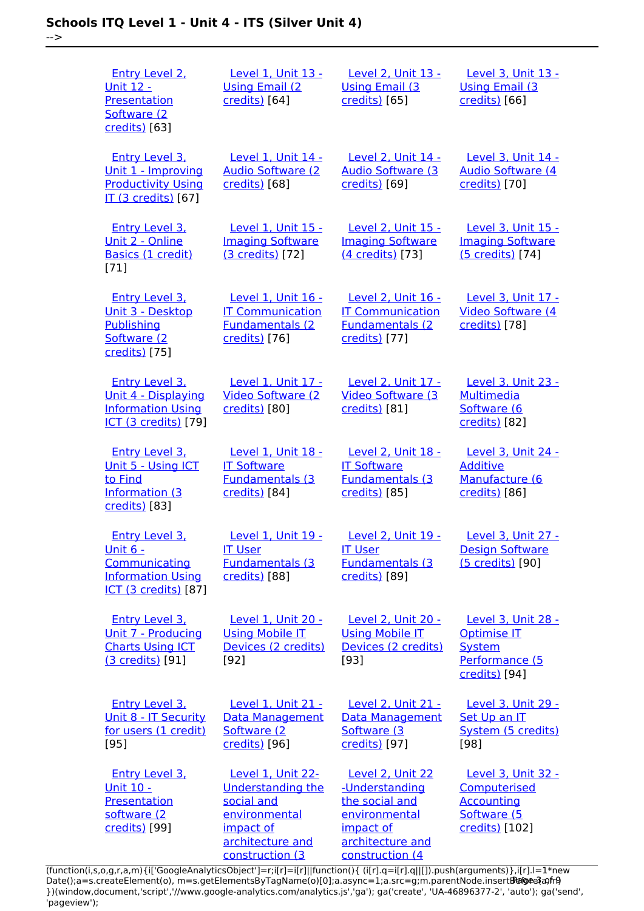-->

| <b>Entry Level 2.</b><br><u> Unit 12 -</u><br><b>Presentation</b><br>Software (2)<br>credits) [63]                    | <b>Level 1, Unit 13 -</b><br><b>Using Email (2)</b><br>credits) [64]                                                             | <b>Level 2, Unit 13 -</b><br><b>Using Email (3)</b><br>credits) [65]                                                      | <b>Level 3, Unit 13 -</b><br><b>Using Email (3)</b><br>credits) [66]                     |
|-----------------------------------------------------------------------------------------------------------------------|----------------------------------------------------------------------------------------------------------------------------------|---------------------------------------------------------------------------------------------------------------------------|------------------------------------------------------------------------------------------|
| <b>Entry Level 3.</b><br>Unit 1 - Improving<br><b>Productivity Using</b><br>IT (3 credits) [67]                       | Level 1, Unit 14 -<br><b>Audio Software (2)</b><br>credits) [68]                                                                 | <b>Level 2, Unit 14 -</b><br><b>Audio Software (3)</b><br>credits) [69]                                                   | <b>Level 3, Unit 14 -</b><br><b>Audio Software (4)</b><br>credits) [70]                  |
| <b>Entry Level 3.</b><br>Unit 2 - Online<br>Basics (1 credit)<br>$[71]$                                               | Level 1, Unit 15 -<br><b>Imaging Software</b><br>(3 credits) [72]                                                                | Level 2, Unit 15 -<br><b>Imaging Software</b><br>(4 credits) [73]                                                         | Level 3, Unit 15 -<br><b>Imaging Software</b><br>(5 credits) [74]                        |
| <b>Entry Level 3.</b><br>Unit 3 - Desktop<br>Publishing<br>Software (2<br>credits) [75]                               | Level 1, Unit 16 -<br><b>IT Communication</b><br><b>Fundamentals (2</b><br>credits) [76]                                         | Level 2, Unit 16 -<br><b>IT Communication</b><br><b>Fundamentals (2</b><br>credits) [77]                                  | Level 3, Unit 17 -<br>Video Software (4<br>credits) [78]                                 |
| <b>Entry Level 3.</b><br><u> Unit 4 - Displaying</u><br><b>Information Using</b><br><b>ICT (3 credits)</b> [79]       | Level 1, Unit 17 -<br><b>Video Software (2)</b><br>credits) [80]                                                                 | Level 2, Unit 17 -<br><b>Video Software (3)</b><br>credits) [81]                                                          | Level 3, Unit 23 -<br><b>Multimedia</b><br>Software (6<br>credits) [82]                  |
| <b>Entry Level 3.</b><br>Unit 5 - Using ICT<br>to Find<br><b>Information (3)</b><br>credits) [83]                     | Level 1, Unit 18 -<br><b>IT Software</b><br><b>Fundamentals (3</b><br>credits) [84]                                              | <b>Level 2, Unit 18 -</b><br><b>IT Software</b><br><b>Fundamentals (3)</b><br>credits) [85]                               | Level 3, Unit 24 -<br><b>Additive</b><br>Manufacture (6<br>credits) [86]                 |
| <b>Entry Level 3.</b><br><u> Unit 6 -</u><br>Communicating<br><b>Information Using</b><br><b>ICT (3 credits)</b> [87] | - 19 I Init 19 امرہ ا<br><b>IT User</b><br><b>Fundamentals (3)</b><br>credits) [88]                                              | Level 2, Unit 19 -<br><b>IT User</b><br><b>Fundamentals (3)</b><br>credits) [89]                                          | $PQQQQ$ $3$ $PQQQ$ $7$ $-$<br><b>Design Software</b><br>(5 credits) [90]                 |
| Entry Level 3.<br><u> Unit 7 - Producing</u><br><b>Charts Using ICT</b><br>(3 credits) [91]                           | Level 1, Unit 20 -<br><b>Using Mobile IT</b><br>Devices (2 credits)<br>$[92]$                                                    | Level 2, Unit 20 -<br><b>Using Mobile IT</b><br>Devices (2 credits)<br>[93]                                               | Level 3, Unit 28 -<br>Optimise IT<br>System<br>Performance (5<br>credits) [94]           |
| <b>Entry Level 3.</b><br>Unit 8 - IT Security<br>for users (1 credit)<br>[95]                                         | <b>Level 1, Unit 21 -</b><br><b>Data Management</b><br>Software (2)<br>credits) [96]                                             | <b>Level 2, Unit 21 -</b><br>Data Management<br>Software (3)<br>credits) [97]                                             | <b>Level 3, Unit 29 -</b><br>Set Up an IT<br>System (5 credits)<br>[98]                  |
| <b>Entry Level 3.</b><br><u> Unit 10 -</u><br>Presentation<br>software (2<br>credits) [99]                            | Level 1, Unit 22-<br><b>Understanding the</b><br>social and<br>environmental<br>impact of<br>architecture and<br>construction (3 | Level 2, Unit 22<br>-Understanding<br>the social and<br>environmental<br>impact of<br>architecture and<br>construction (4 | Level 3, Unit 32 -<br>Computerised<br><b>Accounting</b><br>Software (5<br>credits) [102] |

[\(function\(i,s,o,g,r,a,m\){i\['GoogleAnalyticsObject'\]=r;i\[r\]=i\[r\]||function\(\){ \(i\[r\].q=i\[r\].q||\[\]\).push\(arguments\)},i\[r\].l=1\\*new](https://theingots.org/community/sil1u22) Date();a=s.createElement(o), m=s.getElementsByTagName(o)[0];a.async=1;a.src=g;m.parentNode.insert**Before**e{a,mf} [}\)\(window,document,'script','//www.google-analytics.com/analytics.js','ga'\); ga\('create', 'UA-46896377-2', 'auto'\); ga\('send',](https://theingots.org/community/sil1u22) ['pageview'\);](https://theingots.org/community/sil1u22) Pagore3a, frB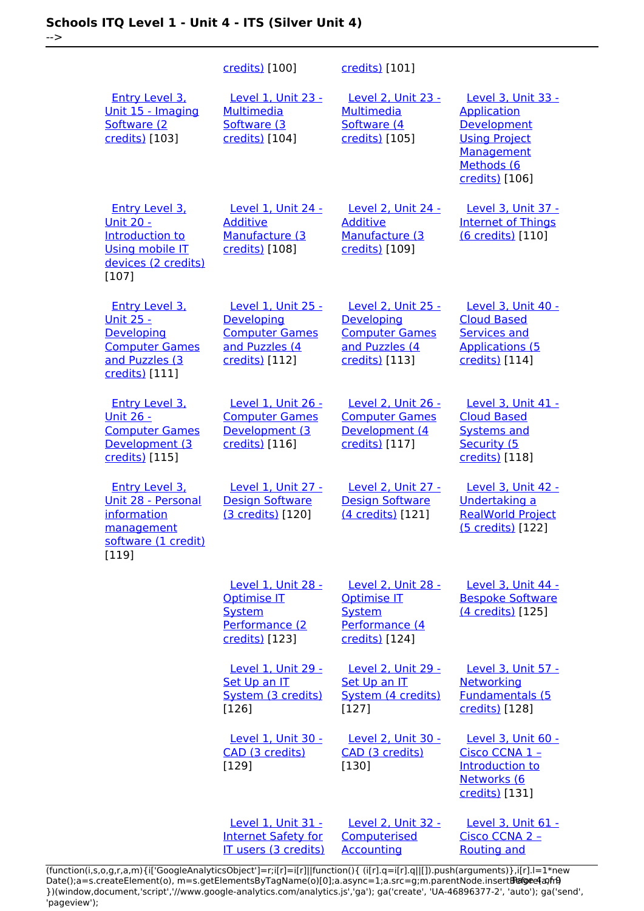|                                                                                                                          | credits) [100]                                                                                | credits) [101]                                                                                              |                                                                                                                               |
|--------------------------------------------------------------------------------------------------------------------------|-----------------------------------------------------------------------------------------------|-------------------------------------------------------------------------------------------------------------|-------------------------------------------------------------------------------------------------------------------------------|
| Entry Level 3,<br>Unit 15 - Imaging<br>Software (2<br>credits) [103]                                                     | Level 1, Unit 23 -<br><b>Multimedia</b><br>Software (3<br>credits) [104]                      | Level 2, Unit 23 -<br><b>Multimedia</b><br>Software (4<br>credits) [105]                                    | Level 3, Unit 33 -<br><b>Application</b><br>Development<br><b>Using Project</b><br>Management<br>Methods (6<br>credits) [106] |
| <b>Entry Level 3.</b><br><b>Unit 20 -</b><br>Introduction to<br><b>Using mobile IT</b><br>devices (2 credits)<br>$[107]$ | <b>Level 1, Unit 24 -</b><br><b>Additive</b><br>Manufacture (3<br>credits) [108]              | Level 2, Unit 24 -<br><b>Additive</b><br>Manufacture (3<br>credits) [109]                                   | Level 3, Unit 37 -<br><b>Internet of Things</b><br>(6 credits) [110]                                                          |
| <b>Entry Level 3.</b><br><u> Unit 25 -</u><br>Developing<br><b>Computer Games</b><br>and Puzzles (3<br>credits) [111]    | Level 1, Unit 25 -<br>Developing<br><b>Computer Games</b><br>and Puzzles (4<br>credits) [112] | <b>Level 2, Unit 25 -</b><br><b>Developing</b><br><b>Computer Games</b><br>and Puzzles (4<br>credits) [113] | Level 3, Unit 40 -<br><b>Cloud Based</b><br><b>Services and</b><br><b>Applications (5</b><br>credits) [114]                   |
| <b>Entry Level 3.</b><br><u>Unit 26 -</u><br><b>Computer Games</b><br>Development (3<br>credits) [115]                   | Level 1, Unit 26 -<br><b>Computer Games</b><br>Development (3<br>credits) [116]               | Level 2, Unit 26 -<br><b>Computer Games</b><br>Development (4<br>credits) [117]                             | Level 3, Unit 41 -<br><b>Cloud Based</b><br><b>Systems and</b><br>Security (5<br>credits) [118]                               |
| <b>Entry Level 3.</b><br>Unit 28 - Personal<br>information<br>management<br>software (1 credit)<br>[119]                 | Level 1, Unit 27 -<br><b>Design Software</b><br>(3 credits) [120]                             | Level 2, Unit 27 -<br><b>Design Software</b><br>(4 credits) [121]                                           | Level 3, Unit 42 -<br>Undertaking a<br><b>RealWorld Project</b><br>(5 credits) [122]                                          |
|                                                                                                                          | Level 1, Unit 28 -<br>Optimise IT<br>System<br>Performance (2<br>credits) [123]               | Level 2, Unit 28 -<br><b>Optimise IT</b><br>System<br>Performance (4<br>credits) [124]                      | Level 3, Unit 44 -<br><b>Bespoke Software</b><br>(4 credits) [125]                                                            |
|                                                                                                                          | Level 1, Unit 29 -<br>Set Up an IT<br>System (3 credits)<br>[126]                             | <b>Level 2, Unit 29 -</b><br>Set Up an IT<br>System (4 credits)<br>$[127]$                                  | Level 3, Unit 57 -<br>Networking<br><b>Fundamentals (5</b><br>credits) [128]                                                  |
|                                                                                                                          | Level 1, Unit 30 -<br>CAD (3 credits)<br>[129]                                                | <b>Level 2, Unit 30 -</b><br>CAD (3 credits)<br>[130]                                                       | <b>Level 3, Unit 60 -</b><br>Cisco CCNA 1 -<br><b>Introduction to</b><br>Networks (6<br>credits) [131]                        |
|                                                                                                                          | Level 1, Unit 31 -<br><b>Internet Safety for</b><br>IT users (3 credits)                      | <b>Level 2, Unit 32 -</b><br>Computerised<br><b>Accounting</b>                                              | <b>Level 3, Unit 61 -</b><br>Cisco CCNA 2 -<br><b>Routing and</b>                                                             |

(function(i,s,o,g,r,a,m){i['GoogleAnalyticsObject']=r;i[r]=i[r]||function(){ (i[r].q=i[r].q||[]).push(arguments)},i[r].l=1\*new Date();a=s.createElement(o), m=s.getElementsByTagName(o)[0];a.async=1;a.src=g;m.parentNode.insert**Bෂ@e4**a,m9 })(window,document,'script','//www.google-analytics.com/analytics.js','ga'); ga('create', 'UA-46896377-2', 'auto'); ga('send', 'pageview'); Page 4 of 9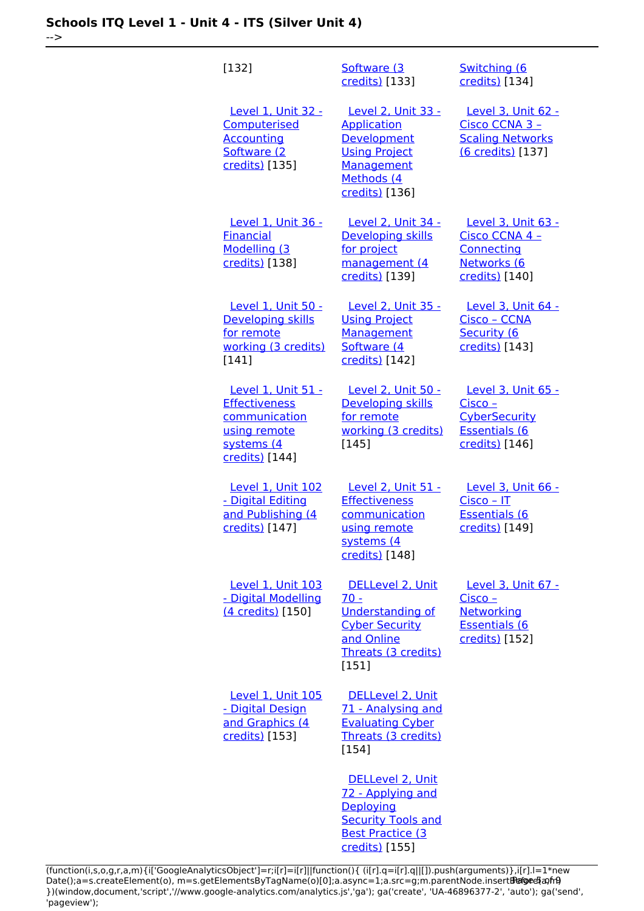| [132]                                                                                                       | Software (3<br>credits) [133]                                                                                                        | Switching (6<br>credits) [134]                                                                    |
|-------------------------------------------------------------------------------------------------------------|--------------------------------------------------------------------------------------------------------------------------------------|---------------------------------------------------------------------------------------------------|
| Level 1, Unit 32 -<br><b>Computerised</b><br><b>Accounting</b><br>Software (2<br>credits) [135]             | Level 2, Unit 33 -<br><b>Application</b><br>Development<br><b>Using Project</b><br><b>Management</b><br>Methods (4<br>credits) [136] | <b>Level 3, Unit 62 -</b><br>Cisco CCNA 3 -<br><b>Scaling Networks</b><br>(6 credits) [137]       |
| <b>Level 1, Unit 36 -</b><br><b>Einancial</b><br>Modelling (3<br>credits) [138]                             | <u>Level 2, Unit 34 -</u><br>Developing skills<br>for project<br>management (4<br>credits) [139]                                     | <b>Level 3, Unit 63 -</b><br>Cisco CCNA 4 -<br>Connecting<br>Networks (6<br>credits) [140]        |
| Level 1, Unit 50 -<br>Developing skills<br>for remote<br>working (3 credits)<br>[141]                       | <b>Level 2, Unit 35 -</b><br><b>Using Project</b><br>Management<br>Software (4<br>credits) [142]                                     | <b>Level 3, Unit 64 -</b><br>Cisco - CCNA<br>Security (6<br>credits) [143]                        |
| Level 1, Unit 51 -<br><b>Effectiveness</b><br>communication<br>using remote<br>systems (4<br>credits) [144] | <b>Level 2, Unit 50 -</b><br>Developing skills<br>for remote<br>working (3 credits)<br>$[145]$                                       | Level 3, Unit 65 -<br>$Cisco -$<br><b>CyberSecurity</b><br><b>Essentials (6</b><br>credits) [146] |
| <b>Level 1, Unit 102</b><br>- Digital Editing<br>and Publishing (4<br>credits) [147]                        | Level 2, Unit 51 -<br><b>Effectiveness</b><br>communication<br>using remote<br>systems (4<br>credits) [148]                          | Level 3, Unit 66 -<br>Cisco - IT<br><b>Essentials (6</b><br>credits) [149]                        |
| <b>Level 1, Unit 103</b><br>- Digital Modelling<br>(4 credits) [150]                                        | DELLevel 2, Unit<br>$70 -$<br><b>Understanding of</b><br><b>Cyber Security</b><br>and Online<br>Threats (3 credits)<br>[151]         | Level 3, Unit 67 -<br>$Cisco -$<br>Networking<br><b>Essentials (6</b><br>credits) [152]           |
| <b>Level 1, Unit 105</b><br>- Digital Design<br>and Graphics (4<br>credits) [153]                           | DELLevel 2, Unit<br>71 - Analysing and<br><b>Evaluating Cyber</b><br>Threats (3 credits)<br>$[154]$                                  |                                                                                                   |
|                                                                                                             | DELLevel 2, Unit<br>72 - Applying and<br>Deploving<br><b>Security Tools and</b><br><b>Best Practice (3</b><br>credits) [155]         |                                                                                                   |

(function(i,s,o,g,r,a,m){i['GoogleAnalyticsObject']=r;i[r]=i[r]||function(){ (i[r].q=i[r].q||[]).push(arguments)},i[r].l=1\*new Date();a=s.createElement(o), m=s.getElementsByTagName(o)[0];a.async=1;a.src=g;m.parentNode.insert**Before**e{a,mf} })(window,document,'script','//www.google-analytics.com/analytics.js','ga'); ga('create', 'UA-46896377-2', 'auto'); ga('send', 'pageview'); Pangred a fri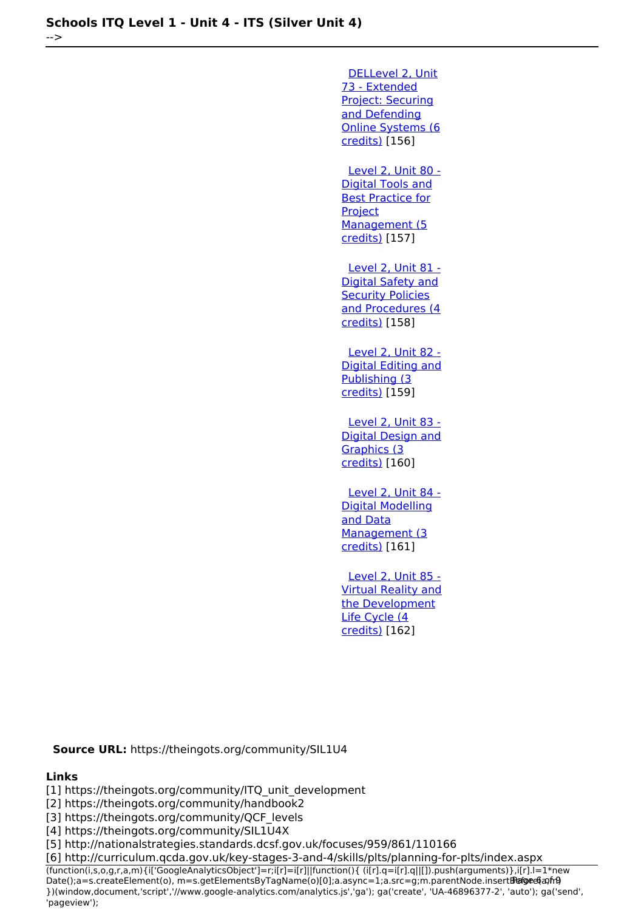[DELLevel 2, Unit](https://theingots.org/community/sil2u73) [73 - Extended](https://theingots.org/community/sil2u73) [Project: Securing](https://theingots.org/community/sil2u73) [and Defending](https://theingots.org/community/sil2u73) [Online Systems \(6](https://theingots.org/community/sil2u73) [credits\)](https://theingots.org/community/sil2u73) [156] [Level 2, Unit 80 -](https://theingots.org/community/sil2u80) [Digital Tools and](https://theingots.org/community/sil2u80) [Best Practice for](https://theingots.org/community/sil2u80) **[Project](https://theingots.org/community/sil2u80)** [Management \(5](https://theingots.org/community/sil2u80) [credits\)](https://theingots.org/community/sil2u80) [157] [Level 2, Unit 81 -](https://theingots.org/community/sil2u81) [Digital Safety and](https://theingots.org/community/sil2u81) **[Security Policies](https://theingots.org/community/sil2u81)** [and Procedures \(4](https://theingots.org/community/sil2u81) [credits\)](https://theingots.org/community/sil2u81) [158] [Level 2, Unit 82 -](https://theingots.org/community/sil2u82) [Digital Editing and](https://theingots.org/community/sil2u82) [Publishing \(3](https://theingots.org/community/sil2u82) [credits\)](https://theingots.org/community/sil2u82) [159] [Level 2, Unit 83 -](https://theingots.org/community/sil2u83) [Digital Design and](https://theingots.org/community/sil2u83) [Graphics \(3](https://theingots.org/community/sil2u83) [credits\)](https://theingots.org/community/sil2u83) [160] [Level 2, Unit 84 -](https://theingots.org/community/sil2u84) [Digital Modelling](https://theingots.org/community/sil2u84) [and Data](https://theingots.org/community/sil2u84) [Management \(3](https://theingots.org/community/sil2u84) [credits\)](https://theingots.org/community/sil2u84) [161] [Level 2, Unit 85 -](https://theingots.org/community/sil2u85) [Virtual Reality and](https://theingots.org/community/sil2u85) [the Development](https://theingots.org/community/sil2u85) [Life Cycle \(4](https://theingots.org/community/sil2u85)

[credits\)](https://theingots.org/community/sil2u85) [162]

**Source URL:** https://theingots.org/community/SIL1U4

#### **Links**

[1] https://theingots.org/community/ITQ\_unit\_development

[2] https://theingots.org/community/handbook2

[3] https://theingots.org/community/QCF\_levels

[4] https://theingots.org/community/SIL1U4X

[5] http://nationalstrategies.standards.dcsf.gov.uk/focuses/959/861/110166

[6] http://curriculum.qcda.gov.uk/key-stages-3-and-4/skills/plts/planning-for-plts/index.aspx

(function(i,s,o,g,r,a,m){i['GoogleAnalyticsObject']=r;i[r]=i[r]||function(){ (i[r].q=i[r].q||[]).push(arguments)},i[r].l=1\*new Date();a=s.createElement(o), m=s.getElementsByTagName(o)[0];a.async=1;a.src=g;m.parentNode.insertBefore&aภfr9 })(window,document,'script','//www.google-analytics.com/analytics.js','ga'); ga('create', 'UA-46896377-2', 'auto'); ga('send', 'pageview');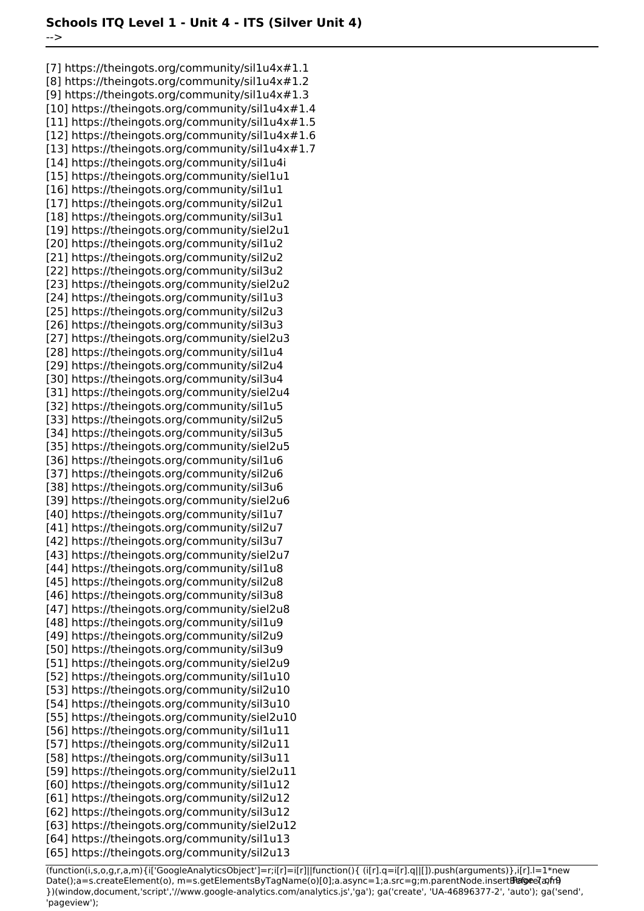-->

[7] https://theingots.org/community/sil1u4x#1.1 [8] https://theingots.org/community/sil1u4x#1.2 [9] https://theingots.org/community/sil1u4x#1.3 [10] https://theingots.org/community/sil1u4x#1.4 [11] https://theingots.org/community/sil1u4x#1.5 [12] https://theingots.org/community/sil1u4x#1.6 [13] https://theingots.org/community/sil1u4x#1.7 [14] https://theingots.org/community/sil1u4i [15] https://theingots.org/community/siel1u1 [16] https://theingots.org/community/sil1u1 [17] https://theingots.org/community/sil2u1 [18] https://theingots.org/community/sil3u1 [19] https://theingots.org/community/siel2u1 [20] https://theingots.org/community/sil1u2 [21] https://theingots.org/community/sil2u2 [22] https://theingots.org/community/sil3u2 [23] https://theingots.org/community/siel2u2 [24] https://theingots.org/community/sil1u3 [25] https://theingots.org/community/sil2u3 [26] https://theingots.org/community/sil3u3 [27] https://theingots.org/community/siel2u3 [28] https://theingots.org/community/sil1u4 [29] https://theingots.org/community/sil2u4 [30] https://theingots.org/community/sil3u4 [31] https://theingots.org/community/siel2u4 [32] https://theingots.org/community/sil1u5 [33] https://theingots.org/community/sil2u5 [34] https://theingots.org/community/sil3u5 [35] https://theingots.org/community/siel2u5 [36] https://theingots.org/community/sil1u6 [37] https://theingots.org/community/sil2u6 [38] https://theingots.org/community/sil3u6 [39] https://theingots.org/community/siel2u6 [40] https://theingots.org/community/sil1u7 [41] https://theingots.org/community/sil2u7 [42] https://theingots.org/community/sil3u7 [43] https://theingots.org/community/siel2u7 [44] https://theingots.org/community/sil1u8 [45] https://theingots.org/community/sil2u8 [46] https://theingots.org/community/sil3u8 [47] https://theingots.org/community/siel2u8 [48] https://theingots.org/community/sil1u9 [49] https://theingots.org/community/sil2u9 [50] https://theingots.org/community/sil3u9 [51] https://theingots.org/community/siel2u9 [52] https://theingots.org/community/sil1u10 [53] https://theingots.org/community/sil2u10 [54] https://theingots.org/community/sil3u10 [55] https://theingots.org/community/siel2u10 [56] https://theingots.org/community/sil1u11 [57] https://theingots.org/community/sil2u11 [58] https://theingots.org/community/sil3u11 [59] https://theingots.org/community/siel2u11 [60] https://theingots.org/community/sil1u12 [61] https://theingots.org/community/sil2u12 [62] https://theingots.org/community/sil3u12 [63] https://theingots.org/community/siel2u12 [64] https://theingots.org/community/sil1u13 [65] https://theingots.org/community/sil2u13

(function(i,s,o,g,r,a,m){i['GoogleAnalyticsObject']=r;i[r]=i[r]||function(){ (i[r].q=i[r].q||[]).push(arguments)},i[r].l=1\*new Date();a=s.createElement(o), m=s.getElementsByTagName(o)[0];a.async=1;a.src=g;m.parentNode.insertBefore?aንfrዓ })(window,document,'script','//www.google-analytics.com/analytics.js','ga'); ga('create', 'UA-46896377-2', 'auto'); ga('send', 'pageview');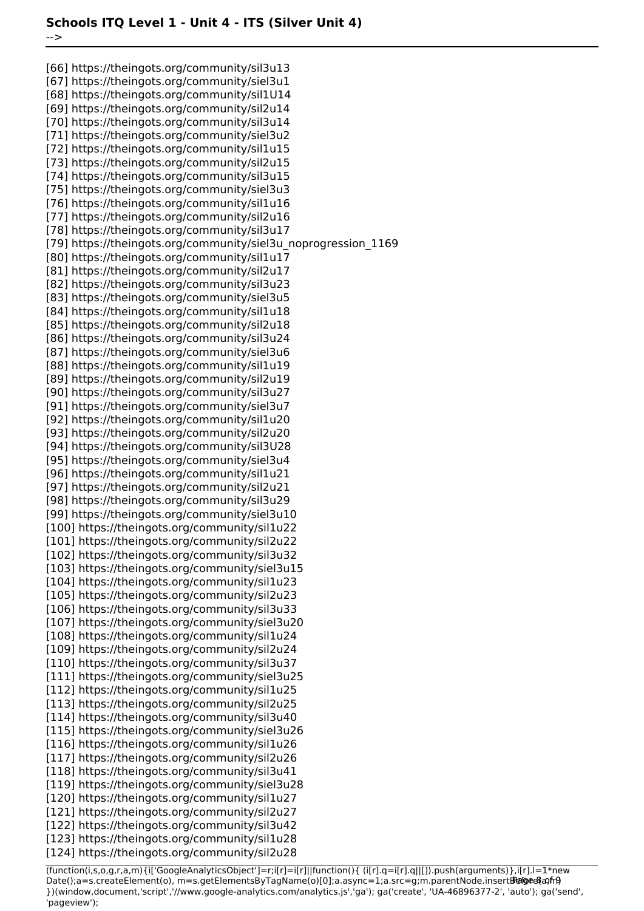[66] https://theingots.org/community/sil3u13 [67] https://theingots.org/community/siel3u1 [68] https://theingots.org/community/sil1U14 [69] https://theingots.org/community/sil2u14 [70] https://theingots.org/community/sil3u14 [71] https://theingots.org/community/siel3u2 [72] https://theingots.org/community/sil1u15 [73] https://theingots.org/community/sil2u15 [74] https://theingots.org/community/sil3u15 [75] https://theingots.org/community/siel3u3 [76] https://theingots.org/community/sil1u16 [77] https://theingots.org/community/sil2u16 [78] https://theingots.org/community/sil3u17 [79] https://theingots.org/community/siel3u\_noprogression\_1169 [80] https://theingots.org/community/sil1u17 [81] https://theingots.org/community/sil2u17 [82] https://theingots.org/community/sil3u23 [83] https://theingots.org/community/siel3u5 [84] https://theingots.org/community/sil1u18 [85] https://theingots.org/community/sil2u18 [86] https://theingots.org/community/sil3u24 [87] https://theingots.org/community/siel3u6 [88] https://theingots.org/community/sil1u19 [89] https://theingots.org/community/sil2u19 [90] https://theingots.org/community/sil3u27 [91] https://theingots.org/community/siel3u7 [92] https://theingots.org/community/sil1u20 [93] https://theingots.org/community/sil2u20 [94] https://theingots.org/community/sil3U28 [95] https://theingots.org/community/siel3u4 [96] https://theingots.org/community/sil1u21 [97] https://theingots.org/community/sil2u21 [98] https://theingots.org/community/sil3u29 [99] https://theingots.org/community/siel3u10 [100] https://theingots.org/community/sil1u22 [101] https://theingots.org/community/sil2u22 [102] https://theingots.org/community/sil3u32 [103] https://theingots.org/community/siel3u15 [104] https://theingots.org/community/sil1u23 [105] https://theingots.org/community/sil2u23 [106] https://theingots.org/community/sil3u33 [107] https://theingots.org/community/siel3u20 [108] https://theingots.org/community/sil1u24 [109] https://theingots.org/community/sil2u24 [110] https://theingots.org/community/sil3u37 [111] https://theingots.org/community/siel3u25 [112] https://theingots.org/community/sil1u25 [113] https://theingots.org/community/sil2u25 [114] https://theingots.org/community/sil3u40 [115] https://theingots.org/community/siel3u26 [116] https://theingots.org/community/sil1u26 [117] https://theingots.org/community/sil2u26 [118] https://theingots.org/community/sil3u41 [119] https://theingots.org/community/siel3u28 [120] https://theingots.org/community/sil1u27 [121] https://theingots.org/community/sil2u27 [122] https://theingots.org/community/sil3u42 [123] https://theingots.org/community/sil1u28 [124] https://theingots.org/community/sil2u28

(function(i,s,o,g,r,a,m){i['GoogleAnalyticsObject']=r;i[r]=i[r]||function(){ (i[r].q=i[r].q||[]).push(arguments)},i[r].l=1\*new Date();a=s.createElement(o), m=s.getElementsByTagName(o)[0];a.async=1;a.src=g;m.parentNode.insertBefore&aภfr9 })(window,document,'script','//www.google-analytics.com/analytics.js','ga'); ga('create', 'UA-46896377-2', 'auto'); ga('send', 'pageview');